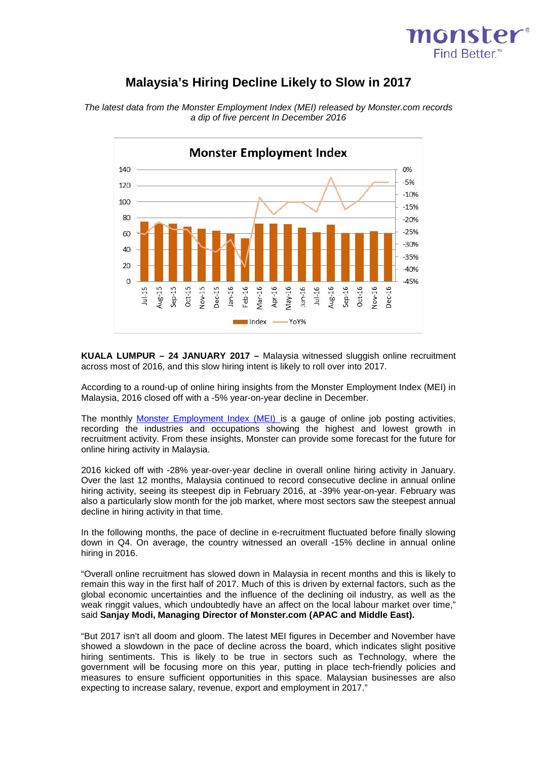

## **Malaysia's Hiring Decline Likely to Slow in 2017**

*The latest data from the Monster Employment Index (MEI) released by Monster.com records a dip of five percent In December 2016*



**KUALA LUMPUR – 24 JANUARY 2017 –** Malaysia witnessed sluggish online recruitment across most of 2016, and this slow hiring intent is likely to roll over into 2017.

According to a round-up of online hiring insights from the Monster Employment Index (MEI) in Malaysia, 2016 closed off with a -5% year-on-year decline in December.

The monthly **Monster Employment Index (MEI)** is a gauge of online job posting activities, recording the industries and occupations showing the highest and lowest growth in recruitment activity. From these insights, Monster can provide some forecast for the future for online hiring activity in Malaysia.

2016 kicked off with -28% year-over-year decline in overall online hiring activity in January. Over the last 12 months, Malaysia continued to record consecutive decline in annual online hiring activity, seeing its steepest dip in February 2016, at -39% year-on-year. February was also a particularly slow month for the job market, where most sectors saw the steepest annual decline in hiring activity in that time.

In the following months, the pace of decline in e-recruitment fluctuated before finally slowing down in Q4. On average, the country witnessed an overall -15% decline in annual online hiring in 2016.

"Overall online recruitment has slowed down in Malaysia in recent months and this is likely to remain this way in the first half of 2017. Much of this is driven by external factors, such as the global economic uncertainties and the influence of the declining oil industry, as well as the weak ringgit values, which undoubtedly have an affect on the local labour market over time," said **Sanjay Modi, Managing Director of Monster.com (APAC and Middle East).**

"But 2017 isn't all doom and gloom. The latest MEI figures in December and November have showed a slowdown in the pace of decline across the board, which indicates slight positive hiring sentiments. This is likely to be true in sectors such as Technology, where the government will be focusing more on this year, putting in place tech-friendly policies and measures to ensure sufficient opportunities in this space. Malaysian businesses are also expecting to increase salary, revenue, export and employment in 2017."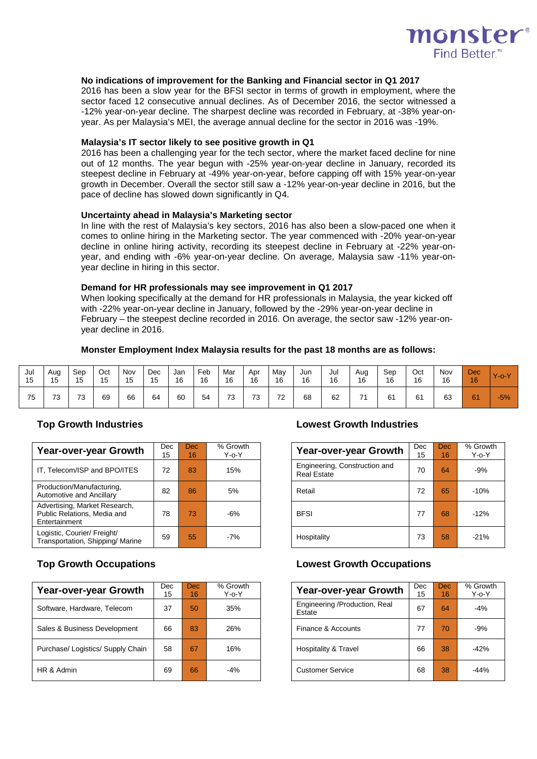

#### **No indications of improvement for the Banking and Financial sector in Q1 2017**

2016 has been a slow year for the BFSI sector in terms of growth in employment, where the sector faced 12 consecutive annual declines. As of December 2016, the sector witnessed a -12% year-on-year decline. The sharpest decline was recorded in February, at -38% year-onyear. As per Malaysia's MEI, the average annual decline for the sector in 2016 was -19%.

## **Malaysia's IT sector likely to see positive growth in Q1**

2016 has been a challenging year for the tech sector, where the market faced decline for nine out of 12 months. The year begun with -25% year-on-year decline in January, recorded its steepest decline in February at -49% year-on-year, before capping off with 15% year-on-year growth in December. Overall the sector still saw a -12% year-on-year decline in 2016, but the pace of decline has slowed down significantly in Q4.

#### **Uncertainty ahead in Malaysia's Marketing sector**

In line with the rest of Malaysia's key sectors, 2016 has also been a slow-paced one when it comes to online hiring in the Marketing sector. The year commenced with -20% year-on-year decline in online hiring activity, recording its steepest decline in February at -22% year-onyear, and ending with -6% year-on-year decline. On average, Malaysia saw -11% year-onyear decline in hiring in this sector.

#### **Demand for HR professionals may see improvement in Q1 2017**

When looking specifically at the demand for HR professionals in Malaysia, the year kicked off with -22% year-on-year decline in January, followed by the -29% year-on-year decline in February – the steepest decline recorded in 2016. On average, the sector saw -12% year-onyear decline in 2016.

#### **Monster Employment Index Malaysia results for the past 18 months are as follows:**

| Jul | Aug | Sep | Oct | Nov | Dec | Jan | Feb | Mar      | Apr | Mav | Jun | Jul | Aug | Sep | Oct | Nov | Dec | $Y$ -o- $Y$ |
|-----|-----|-----|-----|-----|-----|-----|-----|----------|-----|-----|-----|-----|-----|-----|-----|-----|-----|-------------|
| 15  | 15  | 15  | 15  | 15  | 15  | 16  | 16  | 16       | 16  | 16  | 16  | 16  | 16  | 16  | 16  | 16  | 16  |             |
| 75  | 70  | 73  | 69  | 66  | 64  | 60  | 54  | 72<br>ັບ | 73  | 72  | 68  | 62  | ⇁   | 61  | 61  | 63  | 61  | $-5\%$      |

| <b>Year-over-year Growth</b>                                                  | Dec<br>15 | Dec.<br>16 | % Growth<br>$Y$ -o- $Y$ | Dec<br>Year-over-year Growth                        |    | Dec<br>16 | % Grov<br>$Y - 0 - Y$ |
|-------------------------------------------------------------------------------|-----------|------------|-------------------------|-----------------------------------------------------|----|-----------|-----------------------|
| IT, Telecom/ISP and BPO/ITES                                                  | 72        | 83         | 15%                     | Engineering, Construction and<br><b>Real Estate</b> | 70 | 64        | $-9%$                 |
| Production/Manufacturing,<br>Automotive and Ancillary                         | 82        | 86         | 5%                      | Retail                                              | 72 | 65        | $-10%$                |
| Advertising, Market Research,<br>Public Relations, Media and<br>Entertainment | 78        | 73         | $-6%$                   | <b>BFSI</b>                                         | 77 | 68        | $-12%$                |
| Logistic, Courier/ Freight/<br>Transportation, Shipping/Marine                | 59        | 55         | $-7%$                   | Hospitality                                         | 73 | 58        | $-21%$                |

| Year-over-year Growth             | <b>Dec</b><br>15 | Dec.<br>16 | % Growth<br>$Y$ -o- $Y$ | Year-over-year Growth                   | <b>Dec</b><br>15 | Dec.<br>16 | % Grov<br>$Y$ -0- $Y$ |
|-----------------------------------|------------------|------------|-------------------------|-----------------------------------------|------------------|------------|-----------------------|
| Software, Hardware, Telecom       | 37               | 50         | 35%                     | Engineering /Production, Real<br>Estate | 67               | 64         | $-4%$                 |
| Sales & Business Development      | 66               | 83         | 26%                     | Finance & Accounts                      | 77               | 70         | $-9%$                 |
| Purchase/ Logistics/ Supply Chain | 58               | 67         | 16%                     | Hospitality & Travel                    | 66               | 38         | $-42%$                |
| HR & Admin                        | 69               | 66         | $-4%$                   | <b>Customer Service</b>                 | 68               | 38         | $-44%$                |

## **Top Growth Industries Lowest Growth Industries**

| $\overline{\phantom{a}}$ ec<br>15 | <b>Dec</b><br>16 | % Growth<br>$Y - 0 - Y$ | Year-over-year Growth                               | <b>Dec</b><br>15 | <b>Dec</b><br>16 | % Growth<br>$Y - 0 - Y$ |
|-----------------------------------|------------------|-------------------------|-----------------------------------------------------|------------------|------------------|-------------------------|
| 72                                | 83               | 15%                     | Engineering, Construction and<br><b>Real Estate</b> | 70               | 64               | $-9%$                   |
| 82                                | 86               | 5%                      | Retail                                              | 72               | 65               | $-10%$                  |
| 78                                | 73               | $-6%$                   | <b>BFSI</b>                                         | 77               | 68               | $-12%$                  |
| 59                                | 55               | -7%                     | Hospitality                                         | 73               | 58               | $-21%$                  |

#### **Top Growth Occupations Lowest Growth Occupations**

| Growth<br>Y-o-Y | <b>Year-over-year Growth</b>            | Dec<br>15 | Dec<br>16 | % Growth<br>$Y - 0 - Y$ |
|-----------------|-----------------------------------------|-----------|-----------|-------------------------|
| 35%             | Engineering /Production, Real<br>Estate | 67        | 64        | $-4%$                   |
| 26%             | Finance & Accounts                      | 77        | 70        | $-9%$                   |
| 16%             | Hospitality & Travel                    | 66        | 38        | $-42%$                  |
| $-4%$           | <b>Customer Service</b>                 | 68        | 38        | $-44%$                  |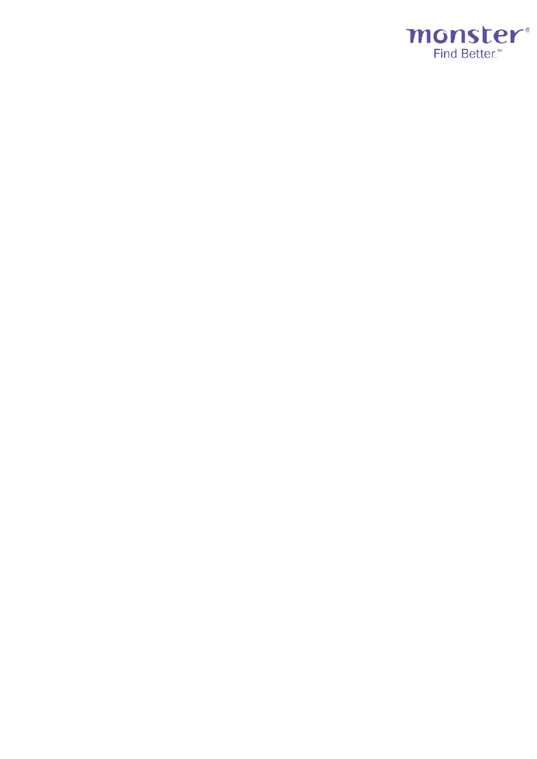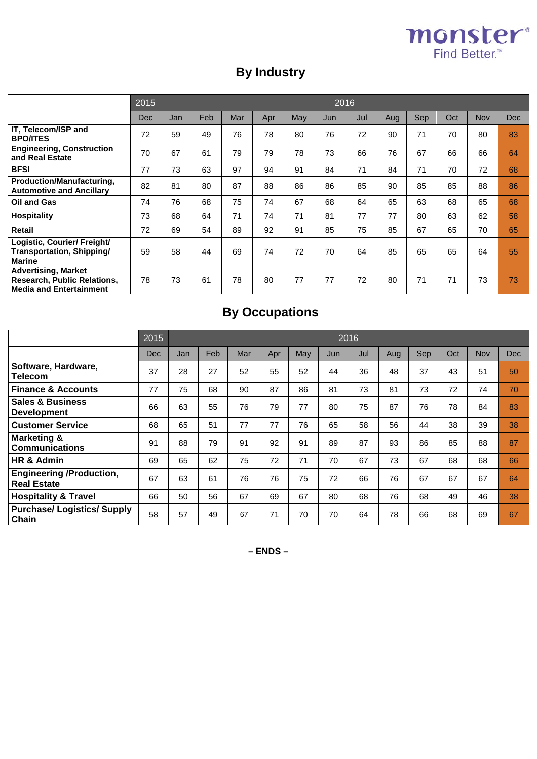# **MONSter**®

# **By Industry**

|                                                                                                    | 2015       |     | 2016 |     |     |     |     |     |     |     |     |            |            |  |
|----------------------------------------------------------------------------------------------------|------------|-----|------|-----|-----|-----|-----|-----|-----|-----|-----|------------|------------|--|
|                                                                                                    | <b>Dec</b> | Jan | Feb  | Mar | Apr | May | Jun | Jul | Aug | Sep | Oct | <b>Nov</b> | <b>Dec</b> |  |
| IT, Telecom/ISP and<br><b>BPO/ITES</b>                                                             | 72         | 59  | 49   | 76  | 78  | 80  | 76  | 72  | 90  | 71  | 70  | 80         | 83         |  |
| <b>Engineering, Construction</b><br>and Real Estate                                                | 70         | 67  | 61   | 79  | 79  | 78  | 73  | 66  | 76  | 67  | 66  | 66         | 64         |  |
| <b>BFSI</b>                                                                                        | 77         | 73  | 63   | 97  | 94  | 91  | 84  | 71  | 84  | 71  | 70  | 72         | 68         |  |
| Production/Manufacturing,<br><b>Automotive and Ancillary</b>                                       | 82         | 81  | 80   | 87  | 88  | 86  | 86  | 85  | 90  | 85  | 85  | 88         | 86         |  |
| <b>Oil and Gas</b>                                                                                 | 74         | 76  | 68   | 75  | 74  | 67  | 68  | 64  | 65  | 63  | 68  | 65         | 68         |  |
| <b>Hospitality</b>                                                                                 | 73         | 68  | 64   | 71  | 74  | 71  | 81  | 77  | 77  | 80  | 63  | 62         | 58         |  |
| <b>Retail</b>                                                                                      | 72         | 69  | 54   | 89  | 92  | 91  | 85  | 75  | 85  | 67  | 65  | 70         | 65         |  |
| Logistic, Courier/ Freight/<br><b>Transportation, Shipping/</b><br>Marine                          | 59         | 58  | 44   | 69  | 74  | 72  | 70  | 64  | 85  | 65  | 65  | 64         | 55         |  |
| <b>Advertising, Market</b><br><b>Research, Public Relations,</b><br><b>Media and Entertainment</b> | 78         | 73  | 61   | 78  | 80  | 77  | 77  | 72  | 80  | 71  | 71  | 73         | 73         |  |

# **By Occupations**

|                                                       | 2015 |     | 2016 |     |     |     |     |     |     |     |     |            |            |  |
|-------------------------------------------------------|------|-----|------|-----|-----|-----|-----|-----|-----|-----|-----|------------|------------|--|
|                                                       | Dec  | Jan | Feb  | Mar | Apr | May | Jun | Jul | Aug | Sep | Oct | <b>Nov</b> | <b>Dec</b> |  |
| Software, Hardware,<br><b>Telecom</b>                 | 37   | 28  | 27   | 52  | 55  | 52  | 44  | 36  | 48  | 37  | 43  | 51         | 50         |  |
| <b>Finance &amp; Accounts</b>                         | 77   | 75  | 68   | 90  | 87  | 86  | 81  | 73  | 81  | 73  | 72  | 74         | 70         |  |
| <b>Sales &amp; Business</b><br><b>Development</b>     | 66   | 63  | 55   | 76  | 79  | 77  | 80  | 75  | 87  | 76  | 78  | 84         | 83         |  |
| <b>Customer Service</b>                               | 68   | 65  | 51   | 77  | 77  | 76  | 65  | 58  | 56  | 44  | 38  | 39         | 38         |  |
| <b>Marketing &amp;</b><br><b>Communications</b>       | 91   | 88  | 79   | 91  | 92  | 91  | 89  | 87  | 93  | 86  | 85  | 88         | 87         |  |
| HR & Admin                                            | 69   | 65  | 62   | 75  | 72  | 71  | 70  | 67  | 73  | 67  | 68  | 68         | 66         |  |
| <b>Engineering /Production,</b><br><b>Real Estate</b> | 67   | 63  | 61   | 76  | 76  | 75  | 72  | 66  | 76  | 67  | 67  | 67         | 64         |  |
| <b>Hospitality &amp; Travel</b>                       | 66   | 50  | 56   | 67  | 69  | 67  | 80  | 68  | 76  | 68  | 49  | 46         | 38         |  |
| <b>Purchase/Logistics/Supply</b><br>Chain             | 58   | 57  | 49   | 67  | 71  | 70  | 70  | 64  | 78  | 66  | 68  | 69         | 67         |  |

**– ENDS –**